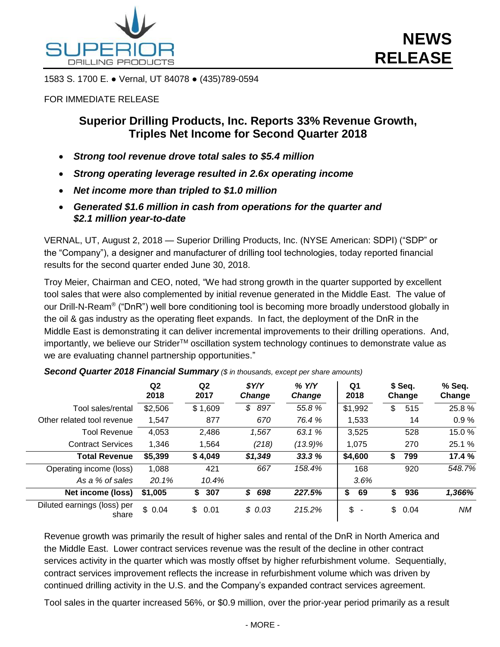

1583 S. 1700 E. ● Vernal, UT 84078 ● (435)789-0594

### FOR IMMEDIATE RELEASE

# **Superior Drilling Products, Inc. Reports 33% Revenue Growth, Triples Net Income for Second Quarter 2018**

- *Strong tool revenue drove total sales to \$5.4 million*
- *Strong operating leverage resulted in 2.6x operating income*
- *Net income more than tripled to \$1.0 million*
- *Generated \$1.6 million in cash from operations for the quarter and \$2.1 million year-to-date*

VERNAL, UT, August 2, 2018 — Superior Drilling Products, Inc. (NYSE American: SDPI) ("SDP" or the "Company"), a designer and manufacturer of drilling tool technologies, today reported financial results for the second quarter ended June 30, 2018.

Troy Meier, Chairman and CEO, noted, "We had strong growth in the quarter supported by excellent tool sales that were also complemented by initial revenue generated in the Middle East. The value of our Drill-N-Ream® ("DnR") well bore conditioning tool is becoming more broadly understood globally in the oil & gas industry as the operating fleet expands. In fact, the deployment of the DnR in the Middle East is demonstrating it can deliver incremental improvements to their drilling operations. And, importantly, we believe our Strider™ oscillation system technology continues to demonstrate value as we are evaluating channel partnership opportunities."

|                                      | Q <sub>2</sub><br>2018 | Q <sub>2</sub><br>2017 | \$Y/Y<br><b>Change</b> | $%$ Y/Y<br>Change | Q1<br>2018                     | \$ Seq.<br>Change | % Seq.<br>Change |
|--------------------------------------|------------------------|------------------------|------------------------|-------------------|--------------------------------|-------------------|------------------|
| Tool sales/rental                    | \$2,506                | \$1,609                | \$<br>897              | 55.8 %            | \$1,992                        | 515<br>\$         | 25.8%            |
| Other related tool revenue           | 1,547                  | 877                    | 670                    | 76.4 %            | 1,533                          | 14                | 0.9%             |
| <b>Tool Revenue</b>                  | 4,053                  | 2,486                  | 1,567                  | 63.1 %            | 3,525                          | 528               | 15.0%            |
| <b>Contract Services</b>             | 1,346                  | 1,564                  | (218)                  | $(13.9)\%$        | 1.075                          | 270               | 25.1 %           |
| <b>Total Revenue</b>                 | \$5,399                | \$4,049                | \$1,349                | 33.3 %            | \$4,600                        | 799<br>\$         | 17.4 %           |
| Operating income (loss)              | 1,088                  | 421                    | 667                    | 158.4%            | 168                            | 920               | 548.7%           |
| As a % of sales                      | 20.1%                  | 10.4%                  |                        |                   | 3.6%                           |                   |                  |
| Net income (loss)                    | \$1,005                | 307<br>\$              | 698<br>S               | 227.5%            | \$<br>69                       | 936<br>S.         | 1,366%           |
| Diluted earnings (loss) per<br>share | \$0.04                 | \$.<br>0.01            | \$0.03                 | 215.2%            | \$<br>$\overline{\phantom{a}}$ | \$.<br>0.04       | <b>NM</b>        |

*Second Quarter 2018 Financial Summary (\$ in thousands, except per share amounts)*

Revenue growth was primarily the result of higher sales and rental of the DnR in North America and the Middle East. Lower contract services revenue was the result of the decline in other contract services activity in the quarter which was mostly offset by higher refurbishment volume. Sequentially, contract services improvement reflects the increase in refurbishment volume which was driven by continued drilling activity in the U.S. and the Company's expanded contract services agreement.

Tool sales in the quarter increased 56%, or \$0.9 million, over the prior-year period primarily as a result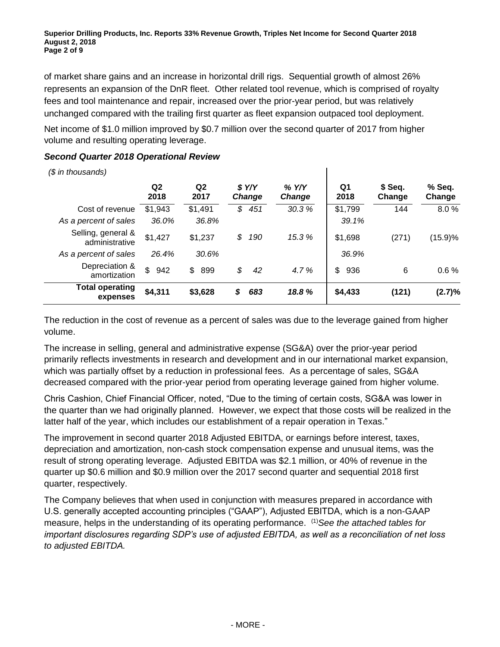of market share gains and an increase in horizontal drill rigs. Sequential growth of almost 26% represents an expansion of the DnR fleet. Other related tool revenue, which is comprised of royalty fees and tool maintenance and repair, increased over the prior-year period, but was relatively unchanged compared with the trailing first quarter as fleet expansion outpaced tool deployment.

Net income of \$1.0 million improved by \$0.7 million over the second quarter of 2017 from higher volume and resulting operating leverage.

## *Second Quarter 2018 Operational Review*

*(\$ in thousands)*

**Q2 2018 Q2 2017** *\$ Y/Y Change % Y/Y Change* **Q1 2018 \$ Seq. Change % Seq. Change Cost of revenue \$1,943 \$1,491 \$ 451 30.3% \$1,799 144 8.0 %** *As a percent of sales 36.0% 36.8% 39.1%* Selling, general & administrative \$1,427 \$1,237 *\$ 190 15.3 %* \$1,698 (271) (15.9)% *As a percent of sales 26.4% 30.6% 36.9%* Depreciation & amortization \$ 942 \$ 899 \$ 42 4.7% | \$ 936 6 0.6 % **Total operating expenses \$4,311 \$3,628** *\$ 683 18.8 %* **\$4,433 (121) (2.7)%**

The reduction in the cost of revenue as a percent of sales was due to the leverage gained from higher volume.

The increase in selling, general and administrative expense (SG&A) over the prior-year period primarily reflects investments in research and development and in our international market expansion, which was partially offset by a reduction in professional fees. As a percentage of sales, SG&A decreased compared with the prior-year period from operating leverage gained from higher volume.

Chris Cashion, Chief Financial Officer, noted, "Due to the timing of certain costs, SG&A was lower in the quarter than we had originally planned. However, we expect that those costs will be realized in the latter half of the year, which includes our establishment of a repair operation in Texas."

The improvement in second quarter 2018 Adjusted EBITDA, or earnings before interest, taxes, depreciation and amortization, non-cash stock compensation expense and unusual items, was the result of strong operating leverage. Adjusted EBITDA was \$2.1 million, or 40% of revenue in the quarter up \$0.6 million and \$0.9 million over the 2017 second quarter and sequential 2018 first quarter, respectively.

The Company believes that when used in conjunction with measures prepared in accordance with U.S. generally accepted accounting principles ("GAAP"), Adjusted EBITDA, which is a non-GAAP measure, helps in the understanding of its operating performance. (1)*See the attached tables for important disclosures regarding SDP's use of adjusted EBITDA, as well as a reconciliation of net loss to adjusted EBITDA.*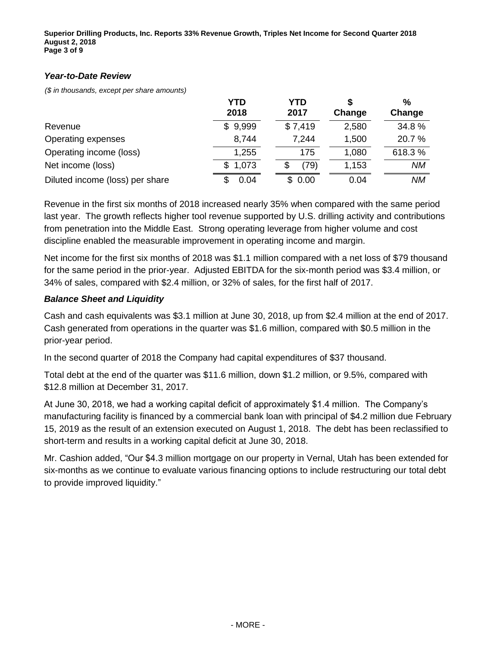**Superior Drilling Products, Inc. Reports 33% Revenue Growth, Triples Net Income for Second Quarter 2018 August 2, 2018 Page 3 of 9**

### *Year-to-Date Review*

*(\$ in thousands, except per share amounts)*

|                                 | <b>YTD</b><br>2018 | YTD<br>2017 | Change | $\frac{0}{0}$<br>Change |
|---------------------------------|--------------------|-------------|--------|-------------------------|
| Revenue                         | \$9,999            | \$7,419     | 2,580  | 34.8%                   |
| Operating expenses              | 8,744              | 7,244       | 1,500  | 20.7 %                  |
| Operating income (loss)         | 1,255              | 175         | 1,080  | 618.3%                  |
| Net income (loss)               | \$1,073            | (79)<br>S   | 1,153  | <b>NM</b>               |
| Diluted income (loss) per share | 0.04               | \$0.00      | 0.04   | <b>NM</b>               |

Revenue in the first six months of 2018 increased nearly 35% when compared with the same period last year. The growth reflects higher tool revenue supported by U.S. drilling activity and contributions from penetration into the Middle East. Strong operating leverage from higher volume and cost discipline enabled the measurable improvement in operating income and margin.

Net income for the first six months of 2018 was \$1.1 million compared with a net loss of \$79 thousand for the same period in the prior-year. Adjusted EBITDA for the six-month period was \$3.4 million, or 34% of sales, compared with \$2.4 million, or 32% of sales, for the first half of 2017.

### *Balance Sheet and Liquidity*

Cash and cash equivalents was \$3.1 million at June 30, 2018, up from \$2.4 million at the end of 2017. Cash generated from operations in the quarter was \$1.6 million, compared with \$0.5 million in the prior-year period.

In the second quarter of 2018 the Company had capital expenditures of \$37 thousand.

Total debt at the end of the quarter was \$11.6 million, down \$1.2 million, or 9.5%, compared with \$12.8 million at December 31, 2017.

At June 30, 2018, we had a working capital deficit of approximately \$1.4 million. The Company's manufacturing facility is financed by a commercial bank loan with principal of \$4.2 million due February 15, 2019 as the result of an extension executed on August 1, 2018. The debt has been reclassified to short-term and results in a working capital deficit at June 30, 2018.

Mr. Cashion added, "Our \$4.3 million mortgage on our property in Vernal, Utah has been extended for six-months as we continue to evaluate various financing options to include restructuring our total debt to provide improved liquidity."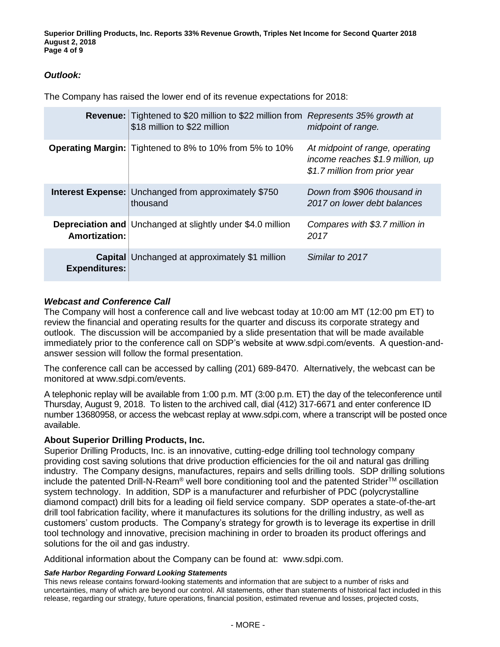**Superior Drilling Products, Inc. Reports 33% Revenue Growth, Triples Net Income for Second Quarter 2018 August 2, 2018 Page 4 of 9**

## *Outlook:*

The Company has raised the lower end of its revenue expectations for 2018:

|                      | <b>Revenue:</b> Tightened to \$20 million to \$22 million from Represents 35% growth at<br>\$18 million to \$22 million | midpoint of range.                                                                                   |
|----------------------|-------------------------------------------------------------------------------------------------------------------------|------------------------------------------------------------------------------------------------------|
|                      | <b>Operating Margin:</b> Tightened to 8% to 10% from 5% to 10%                                                          | At midpoint of range, operating<br>income reaches \$1.9 million, up<br>\$1.7 million from prior year |
|                      | <b>Interest Expense: Unchanged from approximately \$750</b><br>thousand                                                 | Down from \$906 thousand in<br>2017 on lower debt balances                                           |
| <b>Amortization:</b> | <b>Depreciation and Unchanged at slightly under \$4.0 million</b>                                                       | Compares with \$3.7 million in<br>2017                                                               |
| <b>Expenditures:</b> | <b>Capital</b> Unchanged at approximately \$1 million                                                                   | Similar to 2017                                                                                      |

### *Webcast and Conference Call*

The Company will host a conference call and live webcast today at 10:00 am MT (12:00 pm ET) to review the financial and operating results for the quarter and discuss its corporate strategy and outlook. The discussion will be accompanied by a slide presentation that will be made available immediately prior to the conference call on SDP's website at www.sdpi.com/events. A question-andanswer session will follow the formal presentation.

The conference call can be accessed by calling (201) 689-8470. Alternatively, the webcast can be monitored at www.sdpi.com/events.

A telephonic replay will be available from 1:00 p.m. MT (3:00 p.m. ET) the day of the teleconference until Thursday, August 9, 2018. To listen to the archived call, dial (412) 317-6671 and enter conference ID number 13680958, or access the webcast replay at www.sdpi.com, where a transcript will be posted once available.

### **About Superior Drilling Products, Inc.**

Superior Drilling Products, Inc. is an innovative, cutting-edge drilling tool technology company providing cost saving solutions that drive production efficiencies for the oil and natural gas drilling industry. The Company designs, manufactures, repairs and sells drilling tools. SDP drilling solutions include the patented Drill-N-Ream<sup>®</sup> well bore conditioning tool and the patented Strider<sup>™</sup> oscillation system technology. In addition, SDP is a manufacturer and refurbisher of PDC (polycrystalline diamond compact) drill bits for a leading oil field service company. SDP operates a state-of-the-art drill tool fabrication facility, where it manufactures its solutions for the drilling industry, as well as customers' custom products. The Company's strategy for growth is to leverage its expertise in drill tool technology and innovative, precision machining in order to broaden its product offerings and solutions for the oil and gas industry.

Additional information about the Company can be found at: www.sdpi.com.

#### *Safe Harbor Regarding Forward Looking Statements*

This news release contains forward-looking statements and information that are subject to a number of risks and uncertainties, many of which are beyond our control. All statements, other than statements of historical fact included in this release, regarding our strategy, future operations, financial position, estimated revenue and losses, projected costs,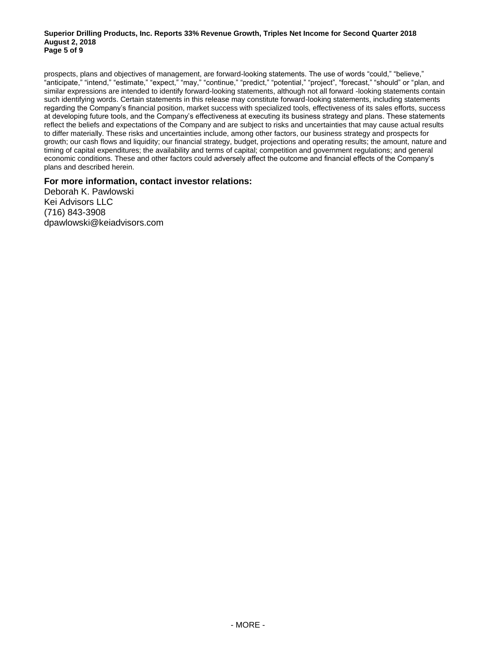#### **Superior Drilling Products, Inc. Reports 33% Revenue Growth, Triples Net Income for Second Quarter 2018 August 2, 2018 Page 5 of 9**

prospects, plans and objectives of management, are forward-looking statements. The use of words "could," "believe," "anticipate," "intend," "estimate," "expect," "may," "continue," "predict," "potential," "project", "forecast," "should" or "plan, and similar expressions are intended to identify forward-looking statements, although not all forward -looking statements contain such identifying words. Certain statements in this release may constitute forward-looking statements, including statements regarding the Company's financial position, market success with specialized tools, effectiveness of its sales efforts, success at developing future tools, and the Company's effectiveness at executing its business strategy and plans. These statements reflect the beliefs and expectations of the Company and are subject to risks and uncertainties that may cause actual results to differ materially. These risks and uncertainties include, among other factors, our business strategy and prospects for growth; our cash flows and liquidity; our financial strategy, budget, projections and operating results; the amount, nature and timing of capital expenditures; the availability and terms of capital; competition and government regulations; and general economic conditions. These and other factors could adversely affect the outcome and financial effects of the Company's plans and described herein.

#### **For more information, contact investor relations:**

Deborah K. Pawlowski Kei Advisors LLC (716) 843-3908 dpawlowski@keiadvisors.com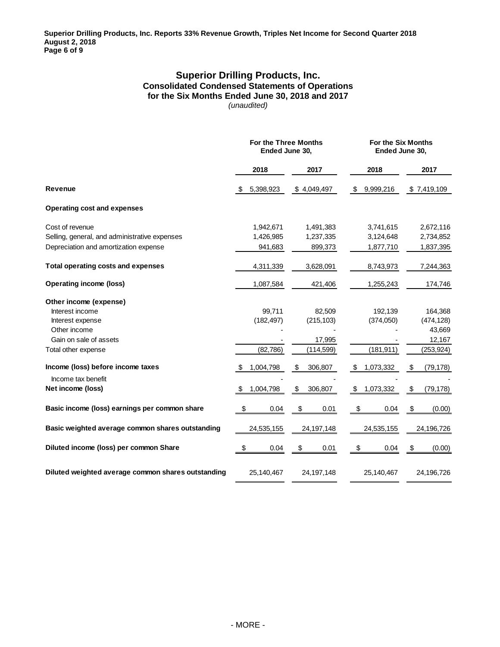#### **Superior Drilling Products, Inc. Consolidated Condensed Statements of Operations for the Six Months Ended June 30, 2018 and 2017** *(unaudited)*

|                                                    | For the Three Months<br>Ended June 30, |               | For the Six Months<br>Ended June 30, |                 |  |
|----------------------------------------------------|----------------------------------------|---------------|--------------------------------------|-----------------|--|
|                                                    | 2018                                   | 2017          | 2018                                 | 2017            |  |
| Revenue                                            | 5,398,923                              | \$4,049,497   | 9,999,216<br>\$                      | \$7,419,109     |  |
| <b>Operating cost and expenses</b>                 |                                        |               |                                      |                 |  |
| Cost of revenue                                    | 1,942,671                              | 1,491,383     | 3,741,615                            | 2,672,116       |  |
| Selling, general, and administrative expenses      | 1,426,985                              | 1,237,335     | 3,124,648                            | 2,734,852       |  |
| Depreciation and amortization expense              | 941,683                                | 899,373       | 1,877,710                            | 1,837,395       |  |
| <b>Total operating costs and expenses</b>          | 4,311,339                              | 3,628,091     | 8,743,973                            | 7,244,363       |  |
| <b>Operating income (loss)</b>                     | 1,087,584                              | 421,406       | 1,255,243                            | 174,746         |  |
| Other income (expense)                             |                                        |               |                                      |                 |  |
| Interest income                                    | 99,711                                 | 82,509        | 192,139                              | 164,368         |  |
| Interest expense                                   | (182, 497)                             | (215, 103)    | (374,050)                            | (474, 128)      |  |
| Other income                                       |                                        |               |                                      | 43,669          |  |
| Gain on sale of assets                             |                                        | 17,995        |                                      | 12,167          |  |
| Total other expense                                | (82, 786)                              | (114, 599)    | (181, 911)                           | (253, 924)      |  |
| Income (loss) before income taxes                  | 1,004,798<br>\$                        | \$<br>306,807 | 1,073,332<br>-\$                     | (79, 178)<br>\$ |  |
| Income tax benefit                                 |                                        |               |                                      |                 |  |
| Net income (loss)                                  | \$<br>1,004,798                        | \$<br>306,807 | \$<br>1,073,332                      | \$<br>(79, 178) |  |
| Basic income (loss) earnings per common share      | \$<br>0.04                             | \$<br>0.01    | \$<br>0.04                           | \$<br>(0.00)    |  |
| Basic weighted average common shares outstanding   | 24,535,155                             | 24, 197, 148  | 24,535,155                           | 24,196,726      |  |
| Diluted income (loss) per common Share             | \$<br>0.04                             | \$<br>0.01    | \$<br>0.04                           | \$<br>(0.00)    |  |
| Diluted weighted average common shares outstanding | 25,140,467                             | 24, 197, 148  | 25,140,467                           | 24,196,726      |  |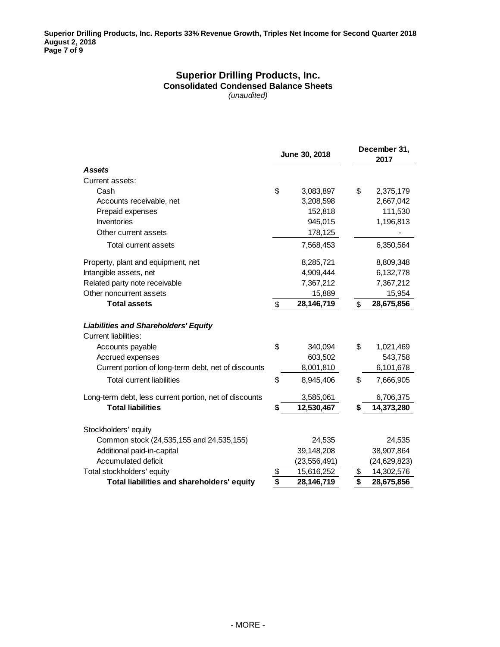#### **Superior Drilling Products, Inc. Consolidated Condensed Balance Sheets** *(unaudited)*

|                                                                     | June 30, 2018         |                | December 31,<br>2017 |
|---------------------------------------------------------------------|-----------------------|----------------|----------------------|
| <b>Assets</b>                                                       |                       |                |                      |
| Current assets:                                                     |                       |                |                      |
| Cash                                                                | \$                    | 3,083,897      | \$<br>2,375,179      |
| Accounts receivable, net                                            |                       | 3,208,598      | 2,667,042            |
| Prepaid expenses                                                    |                       | 152,818        | 111,530              |
| Inventories                                                         |                       | 945,015        | 1,196,813            |
| Other current assets                                                |                       | 178,125        |                      |
| Total current assets                                                |                       | 7,568,453      | 6,350,564            |
| Property, plant and equipment, net                                  |                       | 8,285,721      | 8,809,348            |
| Intangible assets, net                                              |                       | 4,909,444      | 6,132,778            |
| Related party note receivable                                       |                       | 7,367,212      | 7,367,212            |
| Other noncurrent assets                                             |                       | 15,889         | 15,954               |
| <b>Total assets</b>                                                 | $\boldsymbol{\theta}$ | 28,146,719     | \$<br>28,675,856     |
| <b>Liabilities and Shareholders' Equity</b><br>Current liabilities: |                       |                |                      |
| Accounts payable                                                    | \$                    | 340,094        | \$<br>1,021,469      |
| Accrued expenses                                                    |                       | 603,502        | 543,758              |
| Current portion of long-term debt, net of discounts                 |                       | 8,001,810      | 6,101,678            |
| <b>Total current liabilities</b>                                    | \$                    | 8,945,406      | \$<br>7,666,905      |
| Long-term debt, less current portion, net of discounts              |                       | 3,585,061      | 6,706,375            |
| <b>Total liabilities</b>                                            | \$                    | 12,530,467     | \$<br>14,373,280     |
| Stockholders' equity                                                |                       |                |                      |
| Common stock (24,535,155 and 24,535,155)                            |                       | 24,535         | 24,535               |
| Additional paid-in-capital                                          |                       | 39,148,208     | 38,907,864           |
| Accumulated deficit                                                 |                       | (23, 556, 491) | (24, 629, 823)       |
| Total stockholders' equity                                          | $\frac{3}{5}$         | 15,616,252     | \$<br>14,302,576     |
| Total liabilities and shareholders' equity                          |                       | 28,146,719     | \$<br>28,675,856     |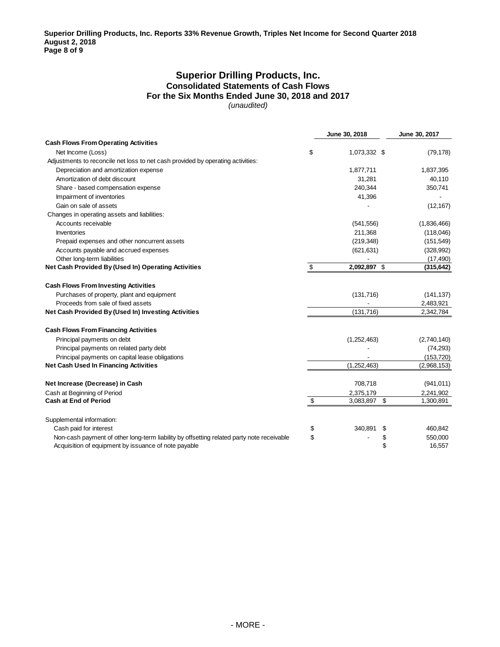#### **Superior Drilling Products, Inc. Consolidated Statements of Cash Flows For the Six Months Ended June 30, 2018 and 2017** *(unaudited)*

|                                                                                           | June 30, 2018         | June 30, 2017 |
|-------------------------------------------------------------------------------------------|-----------------------|---------------|
| <b>Cash Flows From Operating Activities</b>                                               |                       |               |
| Net Income (Loss)                                                                         | \$<br>1,073,332 \$    | (79, 178)     |
| Adjustments to reconcile net loss to net cash provided by operating activities:           |                       |               |
| Depreciation and amortization expense                                                     | 1,877,711             | 1,837,395     |
| Amortization of debt discount                                                             | 31,281                | 40,110        |
| Share - based compensation expense                                                        | 240.344               | 350,741       |
| Impairment of inventories                                                                 | 41,396                |               |
| Gain on sale of assets                                                                    |                       | (12, 167)     |
| Changes in operating assets and liabilities:                                              |                       |               |
| Accounts receivable                                                                       | (541, 556)            | (1,836,466)   |
| <b>Inventories</b>                                                                        | 211,368               | (118,046)     |
| Prepaid expenses and other noncurrent assets                                              | (219, 348)            | (151, 549)    |
| Accounts payable and accrued expenses                                                     | (621, 631)            | (328, 992)    |
| Other long-term liabilities                                                               |                       | (17, 490)     |
| Net Cash Provided By (Used In) Operating Activities                                       | \$<br>2,092,897 \$    | (315, 642)    |
| <b>Cash Flows From Investing Activities</b>                                               |                       |               |
| Purchases of property, plant and equipment                                                | (131,716)             | (141, 137)    |
| Proceeds from sale of fixed assets                                                        |                       | 2,483,921     |
| Net Cash Provided By (Used In) Investing Activities                                       | (131, 716)            | 2,342,784     |
| <b>Cash Flows From Financing Activities</b>                                               |                       |               |
| Principal payments on debt                                                                | (1,252,463)           | (2,740,140)   |
| Principal payments on related party debt                                                  |                       | (74, 293)     |
| Principal payments on capital lease obligations                                           |                       | (153, 720)    |
| <b>Net Cash Used In Financing Activities</b>                                              | (1,252,463)           | (2,968,153)   |
| Net Increase (Decrease) in Cash                                                           | 708,718               | (941, 011)    |
| Cash at Beginning of Period                                                               | 2,375,179             | 2,241,902     |
| <b>Cash at End of Period</b>                                                              | \$<br>\$<br>3,083,897 | 1,300,891     |
| Supplemental information:                                                                 |                       |               |
| Cash paid for interest                                                                    | \$<br>340,891<br>\$   | 460,842       |
| Non-cash payment of other long-term liability by offsetting related party note receivable | \$<br>\$              | 550,000       |
| Acquisition of equipment by issuance of note payable                                      | \$                    | 16,557        |